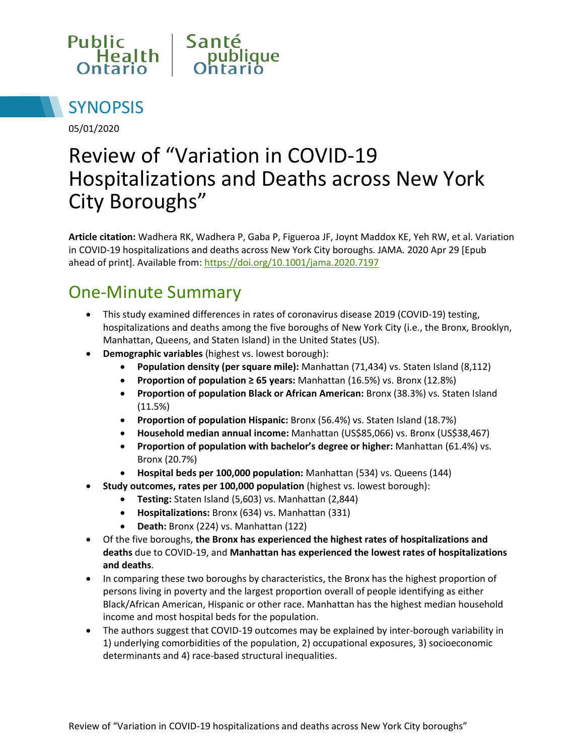



05/01/2020

# Review of "Variation in COVID-19 Hospitalizations and Deaths across New York City Boroughs"

**Article citation:** Wadhera RK, Wadhera P, Gaba P, Figueroa JF, Joynt Maddox KE, Yeh RW, et al. Variation in COVID-19 hospitalizations and deaths across New York City boroughs. JAMA. 2020 Apr 29 [Epub ahead of print]. Available from:<https://doi.org/10.1001/jama.2020.7197>

#### One-Minute Summary

- This study examined differences in rates of coronavirus disease 2019 (COVID-19) testing, hospitalizations and deaths among the five boroughs of New York City (i.e., the Bronx, Brooklyn, Manhattan, Queens, and Staten Island) in the United States (US).
- **Demographic variables** (highest vs. lowest borough):
	- **Population density (per square mile):** Manhattan (71,434) vs. Staten Island (8,112)
	- **Proportion of population ≥ 65 years:** Manhattan (16.5%) vs. Bronx (12.8%)
	- **Proportion of population Black or African American:** Bronx (38.3%) vs. Staten Island (11.5%)
	- **Proportion of population Hispanic:** Bronx (56.4%) vs. Staten Island (18.7%)
	- **Household median annual income:** Manhattan (US\$85,066) vs. Bronx (US\$38,467)
	- **Proportion of population with bachelor's degree or higher:** Manhattan (61.4%) vs. Bronx (20.7%)
	- **Hospital beds per 100,000 population:** Manhattan (534) vs. Queens (144)
	- **Study outcomes, rates per 100,000 population** (highest vs. lowest borough):
		- **Testing:** Staten Island (5,603) vs. Manhattan (2,844)
		- **Hospitalizations:** Bronx (634) vs. Manhattan (331)
		- **Death:** Bronx (224) vs. Manhattan (122)
- Of the five boroughs, **the Bronx has experienced the highest rates of hospitalizations and deaths** due to COVID-19, and **Manhattan has experienced the lowest rates of hospitalizations and deaths**.
- In comparing these two boroughs by characteristics, the Bronx has the highest proportion of persons living in poverty and the largest proportion overall of people identifying as either Black/African American, Hispanic or other race. Manhattan has the highest median household income and most hospital beds for the population.
- The authors suggest that COVID-19 outcomes may be explained by inter-borough variability in 1) underlying comorbidities of the population, 2) occupational exposures, 3) socioeconomic determinants and 4) race-based structural inequalities.